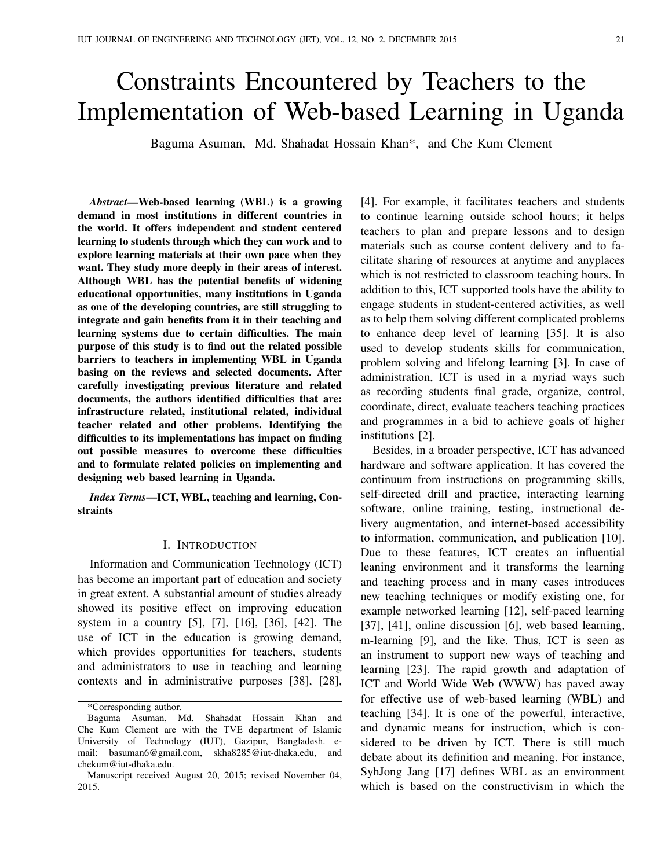# Constraints Encountered by Teachers to the Implementation of Web-based Learning in Uganda

Baguma Asuman, Md. Shahadat Hossain Khan\*, and Che Kum Clement

*Abstract*—Web-based learning (WBL) is a growing demand in most institutions in different countries in the world. It offers independent and student centered learning to students through which they can work and to explore learning materials at their own pace when they want. They study more deeply in their areas of interest. Although WBL has the potential benefits of widening educational opportunities, many institutions in Uganda as one of the developing countries, are still struggling to integrate and gain benefits from it in their teaching and learning systems due to certain difficulties. The main purpose of this study is to find out the related possible barriers to teachers in implementing WBL in Uganda basing on the reviews and selected documents. After carefully investigating previous literature and related documents, the authors identified difficulties that are: infrastructure related, institutional related, individual teacher related and other problems. Identifying the difficulties to its implementations has impact on finding out possible measures to overcome these difficulties and to formulate related policies on implementing and designing web based learning in Uganda.

*Index Terms*—ICT, WBL, teaching and learning, Constraints

## I. INTRODUCTION

Information and Communication Technology (ICT) has become an important part of education and society in great extent. A substantial amount of studies already showed its positive effect on improving education system in a country [5], [7], [16], [36], [42]. The use of ICT in the education is growing demand, which provides opportunities for teachers, students and administrators to use in teaching and learning contexts and in administrative purposes [38], [28], [4]. For example, it facilitates teachers and students to continue learning outside school hours; it helps teachers to plan and prepare lessons and to design materials such as course content delivery and to facilitate sharing of resources at anytime and anyplaces which is not restricted to classroom teaching hours. In addition to this, ICT supported tools have the ability to engage students in student-centered activities, as well as to help them solving different complicated problems to enhance deep level of learning [35]. It is also used to develop students skills for communication, problem solving and lifelong learning [3]. In case of administration, ICT is used in a myriad ways such as recording students final grade, organize, control, coordinate, direct, evaluate teachers teaching practices and programmes in a bid to achieve goals of higher institutions [2].

Besides, in a broader perspective, ICT has advanced hardware and software application. It has covered the continuum from instructions on programming skills, self-directed drill and practice, interacting learning software, online training, testing, instructional delivery augmentation, and internet-based accessibility to information, communication, and publication [10]. Due to these features, ICT creates an influential leaning environment and it transforms the learning and teaching process and in many cases introduces new teaching techniques or modify existing one, for example networked learning [12], self-paced learning [37], [41], online discussion [6], web based learning, m-learning [9], and the like. Thus, ICT is seen as an instrument to support new ways of teaching and learning [23]. The rapid growth and adaptation of ICT and World Wide Web (WWW) has paved away for effective use of web-based learning (WBL) and teaching [34]. It is one of the powerful, interactive, and dynamic means for instruction, which is considered to be driven by ICT. There is still much debate about its definition and meaning. For instance, SyhJong Jang [17] defines WBL as an environment which is based on the constructivism in which the

<sup>\*</sup>Corresponding author.

Baguma Asuman, Md. Shahadat Hossain Khan and Che Kum Clement are with the TVE department of Islamic University of Technology (IUT), Gazipur, Bangladesh. email: basuman6@gmail.com, skha8285@iut-dhaka.edu, and chekum@iut-dhaka.edu.

Manuscript received August 20, 2015; revised November 04, 2015.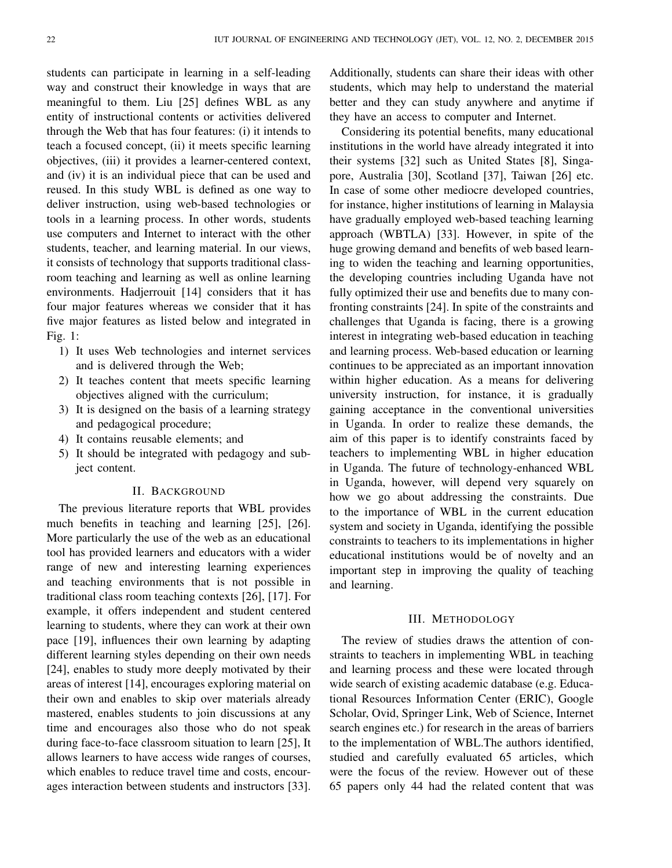students can participate in learning in a self-leading way and construct their knowledge in ways that are meaningful to them. Liu [25] defines WBL as any entity of instructional contents or activities delivered through the Web that has four features: (i) it intends to teach a focused concept, (ii) it meets specific learning objectives, (iii) it provides a learner-centered context, and (iv) it is an individual piece that can be used and reused. In this study WBL is defined as one way to deliver instruction, using web-based technologies or tools in a learning process. In other words, students use computers and Internet to interact with the other students, teacher, and learning material. In our views, it consists of technology that supports traditional classroom teaching and learning as well as online learning environments. Hadjerrouit [14] considers that it has four major features whereas we consider that it has five major features as listed below and integrated in Fig. 1:

- 1) It uses Web technologies and internet services and is delivered through the Web;
- 2) It teaches content that meets specific learning objectives aligned with the curriculum;
- 3) It is designed on the basis of a learning strategy and pedagogical procedure;
- 4) It contains reusable elements; and
- 5) It should be integrated with pedagogy and subject content.

### II. BACKGROUND

The previous literature reports that WBL provides much benefits in teaching and learning [25], [26]. More particularly the use of the web as an educational tool has provided learners and educators with a wider range of new and interesting learning experiences and teaching environments that is not possible in traditional class room teaching contexts [26], [17]. For example, it offers independent and student centered learning to students, where they can work at their own pace [19], influences their own learning by adapting different learning styles depending on their own needs [24], enables to study more deeply motivated by their areas of interest [14], encourages exploring material on their own and enables to skip over materials already mastered, enables students to join discussions at any time and encourages also those who do not speak during face-to-face classroom situation to learn [25], It allows learners to have access wide ranges of courses, which enables to reduce travel time and costs, encourages interaction between students and instructors [33].

Additionally, students can share their ideas with other students, which may help to understand the material better and they can study anywhere and anytime if they have an access to computer and Internet.

Considering its potential benefits, many educational institutions in the world have already integrated it into their systems [32] such as United States [8], Singapore, Australia [30], Scotland [37], Taiwan [26] etc. In case of some other mediocre developed countries, for instance, higher institutions of learning in Malaysia have gradually employed web-based teaching learning approach (WBTLA) [33]. However, in spite of the huge growing demand and benefits of web based learning to widen the teaching and learning opportunities, the developing countries including Uganda have not fully optimized their use and benefits due to many confronting constraints [24]. In spite of the constraints and challenges that Uganda is facing, there is a growing interest in integrating web-based education in teaching and learning process. Web-based education or learning continues to be appreciated as an important innovation within higher education. As a means for delivering university instruction, for instance, it is gradually gaining acceptance in the conventional universities in Uganda. In order to realize these demands, the aim of this paper is to identify constraints faced by teachers to implementing WBL in higher education in Uganda. The future of technology-enhanced WBL in Uganda, however, will depend very squarely on how we go about addressing the constraints. Due to the importance of WBL in the current education system and society in Uganda, identifying the possible constraints to teachers to its implementations in higher educational institutions would be of novelty and an important step in improving the quality of teaching and learning.

#### III. METHODOLOGY

The review of studies draws the attention of constraints to teachers in implementing WBL in teaching and learning process and these were located through wide search of existing academic database (e.g. Educational Resources Information Center (ERIC), Google Scholar, Ovid, Springer Link, Web of Science, Internet search engines etc.) for research in the areas of barriers to the implementation of WBL.The authors identified, studied and carefully evaluated 65 articles, which were the focus of the review. However out of these 65 papers only 44 had the related content that was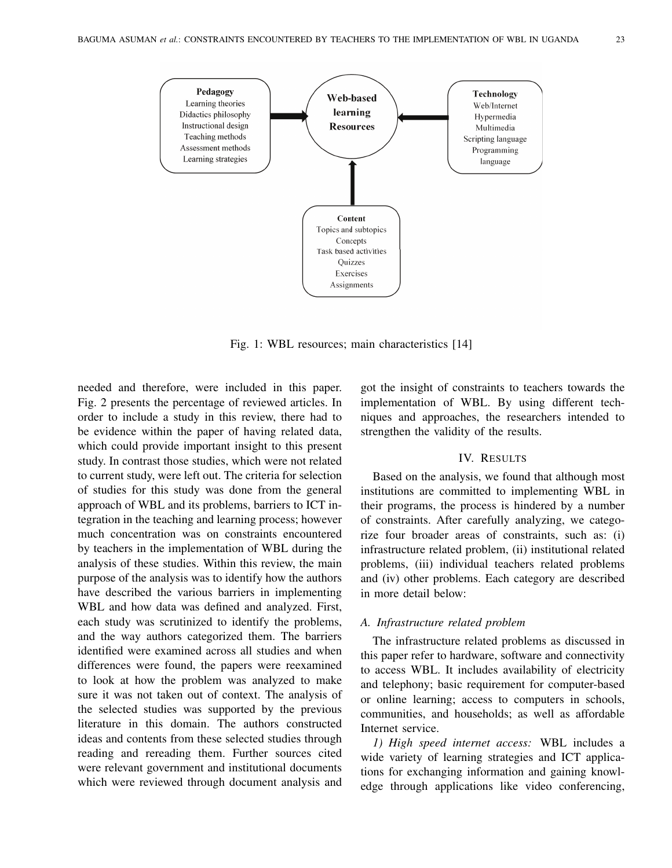

Fig. 1: WBL resources; main characteristics [14]

needed and therefore, were included in this paper. Fig. 2 presents the percentage of reviewed articles. In order to include a study in this review, there had to be evidence within the paper of having related data, which could provide important insight to this present study. In contrast those studies, which were not related to current study, were left out. The criteria for selection of studies for this study was done from the general approach of WBL and its problems, barriers to ICT integration in the teaching and learning process; however much concentration was on constraints encountered by teachers in the implementation of WBL during the analysis of these studies. Within this review, the main purpose of the analysis was to identify how the authors have described the various barriers in implementing WBL and how data was defined and analyzed. First, each study was scrutinized to identify the problems, and the way authors categorized them. The barriers identified were examined across all studies and when differences were found, the papers were reexamined to look at how the problem was analyzed to make sure it was not taken out of context. The analysis of the selected studies was supported by the previous literature in this domain. The authors constructed ideas and contents from these selected studies through reading and rereading them. Further sources cited were relevant government and institutional documents which were reviewed through document analysis and

got the insight of constraints to teachers towards the implementation of WBL. By using different techniques and approaches, the researchers intended to strengthen the validity of the results.

### IV. RESULTS

Based on the analysis, we found that although most institutions are committed to implementing WBL in their programs, the process is hindered by a number of constraints. After carefully analyzing, we categorize four broader areas of constraints, such as: (i) infrastructure related problem, (ii) institutional related problems, (iii) individual teachers related problems and (iv) other problems. Each category are described in more detail below:

# *A. Infrastructure related problem*

The infrastructure related problems as discussed in this paper refer to hardware, software and connectivity to access WBL. It includes availability of electricity and telephony; basic requirement for computer-based or online learning; access to computers in schools, communities, and households; as well as affordable Internet service.

*1) High speed internet access:* WBL includes a wide variety of learning strategies and ICT applications for exchanging information and gaining knowledge through applications like video conferencing,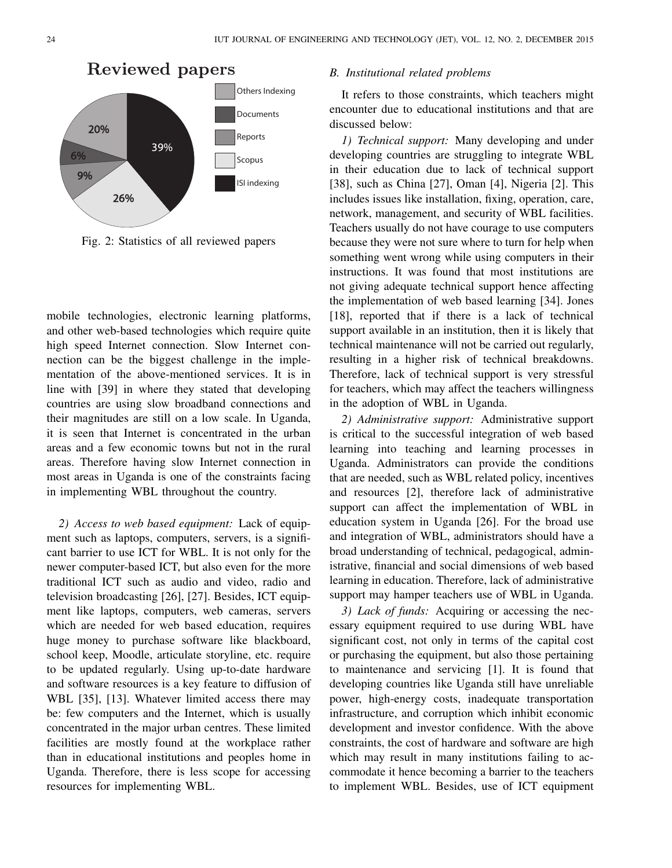

# Reviewed papers

Fig. 2: Statistics of all reviewed papers

mobile technologies, electronic learning platforms, and other web-based technologies which require quite high speed Internet connection. Slow Internet connection can be the biggest challenge in the implementation of the above-mentioned services. It is in line with [39] in where they stated that developing countries are using slow broadband connections and their magnitudes are still on a low scale. In Uganda, it is seen that Internet is concentrated in the urban areas and a few economic towns but not in the rural areas. Therefore having slow Internet connection in most areas in Uganda is one of the constraints facing in implementing WBL throughout the country.

*2) Access to web based equipment:* Lack of equipment such as laptops, computers, servers, is a significant barrier to use ICT for WBL. It is not only for the newer computer-based ICT, but also even for the more traditional ICT such as audio and video, radio and television broadcasting [26], [27]. Besides, ICT equipment like laptops, computers, web cameras, servers which are needed for web based education, requires huge money to purchase software like blackboard, school keep, Moodle, articulate storyline, etc. require to be updated regularly. Using up-to-date hardware and software resources is a key feature to diffusion of WBL [35], [13]. Whatever limited access there may be: few computers and the Internet, which is usually concentrated in the major urban centres. These limited facilities are mostly found at the workplace rather than in educational institutions and peoples home in Uganda. Therefore, there is less scope for accessing resources for implementing WBL.

### *B. Institutional related problems*

It refers to those constraints, which teachers might encounter due to educational institutions and that are discussed below:

*1) Technical support:* Many developing and under developing countries are struggling to integrate WBL in their education due to lack of technical support [38], such as China [27], Oman [4], Nigeria [2]. This includes issues like installation, fixing, operation, care, network, management, and security of WBL facilities. Teachers usually do not have courage to use computers because they were not sure where to turn for help when something went wrong while using computers in their instructions. It was found that most institutions are not giving adequate technical support hence affecting the implementation of web based learning [34]. Jones [18], reported that if there is a lack of technical support available in an institution, then it is likely that technical maintenance will not be carried out regularly, resulting in a higher risk of technical breakdowns. Therefore, lack of technical support is very stressful for teachers, which may affect the teachers willingness in the adoption of WBL in Uganda.

*2) Administrative support:* Administrative support is critical to the successful integration of web based learning into teaching and learning processes in Uganda. Administrators can provide the conditions that are needed, such as WBL related policy, incentives and resources [2], therefore lack of administrative support can affect the implementation of WBL in education system in Uganda [26]. For the broad use and integration of WBL, administrators should have a broad understanding of technical, pedagogical, administrative, financial and social dimensions of web based learning in education. Therefore, lack of administrative support may hamper teachers use of WBL in Uganda.

*3) Lack of funds:* Acquiring or accessing the necessary equipment required to use during WBL have significant cost, not only in terms of the capital cost or purchasing the equipment, but also those pertaining to maintenance and servicing [1]. It is found that developing countries like Uganda still have unreliable power, high-energy costs, inadequate transportation infrastructure, and corruption which inhibit economic development and investor confidence. With the above constraints, the cost of hardware and software are high which may result in many institutions failing to accommodate it hence becoming a barrier to the teachers to implement WBL. Besides, use of ICT equipment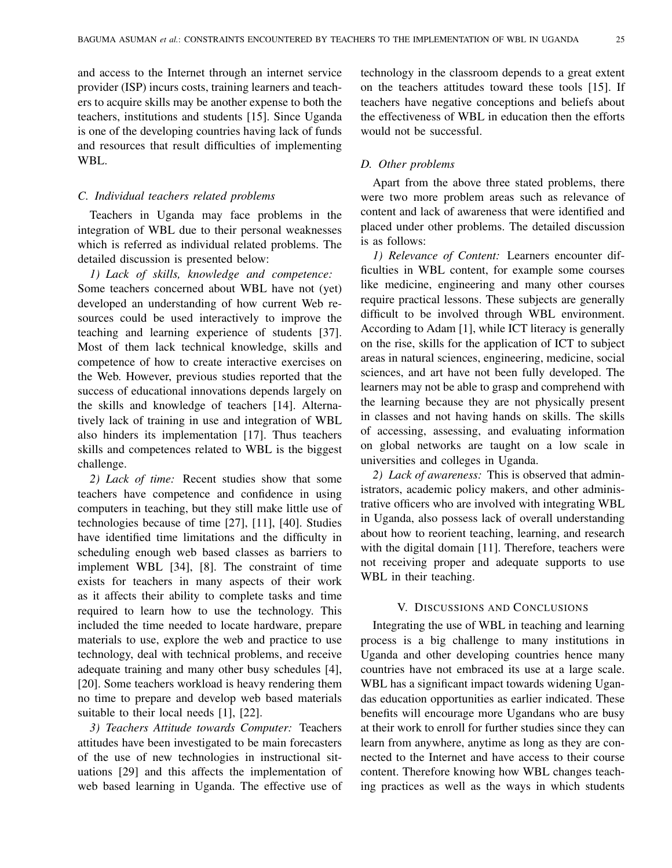and access to the Internet through an internet service provider (ISP) incurs costs, training learners and teachers to acquire skills may be another expense to both the teachers, institutions and students [15]. Since Uganda is one of the developing countries having lack of funds and resources that result difficulties of implementing WBL.

### *C. Individual teachers related problems*

Teachers in Uganda may face problems in the integration of WBL due to their personal weaknesses which is referred as individual related problems. The detailed discussion is presented below:

*1) Lack of skills, knowledge and competence:* Some teachers concerned about WBL have not (yet) developed an understanding of how current Web resources could be used interactively to improve the teaching and learning experience of students [37]. Most of them lack technical knowledge, skills and competence of how to create interactive exercises on the Web. However, previous studies reported that the success of educational innovations depends largely on the skills and knowledge of teachers [14]. Alternatively lack of training in use and integration of WBL also hinders its implementation [17]. Thus teachers skills and competences related to WBL is the biggest challenge.

*2) Lack of time:* Recent studies show that some teachers have competence and confidence in using computers in teaching, but they still make little use of technologies because of time [27], [11], [40]. Studies have identified time limitations and the difficulty in scheduling enough web based classes as barriers to implement WBL [34], [8]. The constraint of time exists for teachers in many aspects of their work as it affects their ability to complete tasks and time required to learn how to use the technology. This included the time needed to locate hardware, prepare materials to use, explore the web and practice to use technology, deal with technical problems, and receive adequate training and many other busy schedules [4], [20]. Some teachers workload is heavy rendering them no time to prepare and develop web based materials suitable to their local needs [1], [22].

*3) Teachers Attitude towards Computer:* Teachers attitudes have been investigated to be main forecasters of the use of new technologies in instructional situations [29] and this affects the implementation of web based learning in Uganda. The effective use of technology in the classroom depends to a great extent on the teachers attitudes toward these tools [15]. If teachers have negative conceptions and beliefs about the effectiveness of WBL in education then the efforts would not be successful.

### *D. Other problems*

Apart from the above three stated problems, there were two more problem areas such as relevance of content and lack of awareness that were identified and placed under other problems. The detailed discussion is as follows:

*1) Relevance of Content:* Learners encounter difficulties in WBL content, for example some courses like medicine, engineering and many other courses require practical lessons. These subjects are generally difficult to be involved through WBL environment. According to Adam [1], while ICT literacy is generally on the rise, skills for the application of ICT to subject areas in natural sciences, engineering, medicine, social sciences, and art have not been fully developed. The learners may not be able to grasp and comprehend with the learning because they are not physically present in classes and not having hands on skills. The skills of accessing, assessing, and evaluating information on global networks are taught on a low scale in universities and colleges in Uganda.

*2) Lack of awareness:* This is observed that administrators, academic policy makers, and other administrative officers who are involved with integrating WBL in Uganda, also possess lack of overall understanding about how to reorient teaching, learning, and research with the digital domain [11]. Therefore, teachers were not receiving proper and adequate supports to use WBL in their teaching.

# V. DISCUSSIONS AND CONCLUSIONS

Integrating the use of WBL in teaching and learning process is a big challenge to many institutions in Uganda and other developing countries hence many countries have not embraced its use at a large scale. WBL has a significant impact towards widening Ugandas education opportunities as earlier indicated. These benefits will encourage more Ugandans who are busy at their work to enroll for further studies since they can learn from anywhere, anytime as long as they are connected to the Internet and have access to their course content. Therefore knowing how WBL changes teaching practices as well as the ways in which students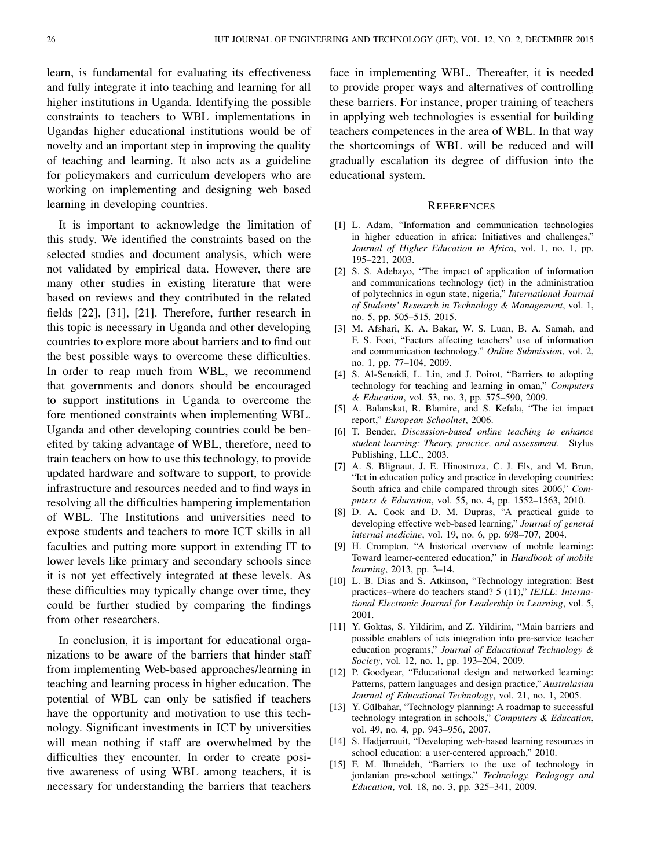learn, is fundamental for evaluating its effectiveness and fully integrate it into teaching and learning for all higher institutions in Uganda. Identifying the possible constraints to teachers to WBL implementations in Ugandas higher educational institutions would be of novelty and an important step in improving the quality of teaching and learning. It also acts as a guideline for policymakers and curriculum developers who are working on implementing and designing web based learning in developing countries.

It is important to acknowledge the limitation of this study. We identified the constraints based on the selected studies and document analysis, which were not validated by empirical data. However, there are many other studies in existing literature that were based on reviews and they contributed in the related fields [22], [31], [21]. Therefore, further research in this topic is necessary in Uganda and other developing countries to explore more about barriers and to find out the best possible ways to overcome these difficulties. In order to reap much from WBL, we recommend that governments and donors should be encouraged to support institutions in Uganda to overcome the fore mentioned constraints when implementing WBL. Uganda and other developing countries could be benefited by taking advantage of WBL, therefore, need to train teachers on how to use this technology, to provide updated hardware and software to support, to provide infrastructure and resources needed and to find ways in resolving all the difficulties hampering implementation of WBL. The Institutions and universities need to expose students and teachers to more ICT skills in all faculties and putting more support in extending IT to lower levels like primary and secondary schools since it is not yet effectively integrated at these levels. As these difficulties may typically change over time, they could be further studied by comparing the findings from other researchers.

In conclusion, it is important for educational organizations to be aware of the barriers that hinder staff from implementing Web-based approaches/learning in teaching and learning process in higher education. The potential of WBL can only be satisfied if teachers have the opportunity and motivation to use this technology. Significant investments in ICT by universities will mean nothing if staff are overwhelmed by the difficulties they encounter. In order to create positive awareness of using WBL among teachers, it is necessary for understanding the barriers that teachers

face in implementing WBL. Thereafter, it is needed to provide proper ways and alternatives of controlling these barriers. For instance, proper training of teachers in applying web technologies is essential for building teachers competences in the area of WBL. In that way the shortcomings of WBL will be reduced and will gradually escalation its degree of diffusion into the educational system.

### **REFERENCES**

- [1] L. Adam, "Information and communication technologies in higher education in africa: Initiatives and challenges," *Journal of Higher Education in Africa*, vol. 1, no. 1, pp. 195–221, 2003.
- [2] S. S. Adebayo, "The impact of application of information and communications technology (ict) in the administration of polytechnics in ogun state, nigeria," *International Journal of Students' Research in Technology & Management*, vol. 1, no. 5, pp. 505–515, 2015.
- [3] M. Afshari, K. A. Bakar, W. S. Luan, B. A. Samah, and F. S. Fooi, "Factors affecting teachers' use of information and communication technology." *Online Submission*, vol. 2, no. 1, pp. 77–104, 2009.
- [4] S. Al-Senaidi, L. Lin, and J. Poirot, "Barriers to adopting technology for teaching and learning in oman," *Computers & Education*, vol. 53, no. 3, pp. 575–590, 2009.
- [5] A. Balanskat, R. Blamire, and S. Kefala, "The ict impact report," *European Schoolnet*, 2006.
- [6] T. Bender, *Discussion-based online teaching to enhance student learning: Theory, practice, and assessment*. Stylus Publishing, LLC., 2003.
- [7] A. S. Blignaut, J. E. Hinostroza, C. J. Els, and M. Brun, "Ict in education policy and practice in developing countries: South africa and chile compared through sites 2006," *Computers & Education*, vol. 55, no. 4, pp. 1552–1563, 2010.
- [8] D. A. Cook and D. M. Dupras, "A practical guide to developing effective web-based learning," *Journal of general internal medicine*, vol. 19, no. 6, pp. 698–707, 2004.
- [9] H. Crompton, "A historical overview of mobile learning: Toward learner-centered education," in *Handbook of mobile learning*, 2013, pp. 3–14.
- [10] L. B. Dias and S. Atkinson, "Technology integration: Best practices–where do teachers stand? 5 (11)," *IEJLL: International Electronic Journal for Leadership in Learning*, vol. 5, 2001.
- [11] Y. Goktas, S. Yildirim, and Z. Yildirim, "Main barriers and possible enablers of icts integration into pre-service teacher education programs," *Journal of Educational Technology & Society*, vol. 12, no. 1, pp. 193–204, 2009.
- [12] P. Goodyear, "Educational design and networked learning: Patterns, pattern languages and design practice," *Australasian Journal of Educational Technology*, vol. 21, no. 1, 2005.
- [13] Y. Gülbahar, "Technology planning: A roadmap to successful technology integration in schools," *Computers & Education*, vol. 49, no. 4, pp. 943–956, 2007.
- [14] S. Hadjerrouit, "Developing web-based learning resources in school education: a user-centered approach," 2010.
- [15] F. M. Ihmeideh, "Barriers to the use of technology in jordanian pre-school settings," *Technology, Pedagogy and Education*, vol. 18, no. 3, pp. 325–341, 2009.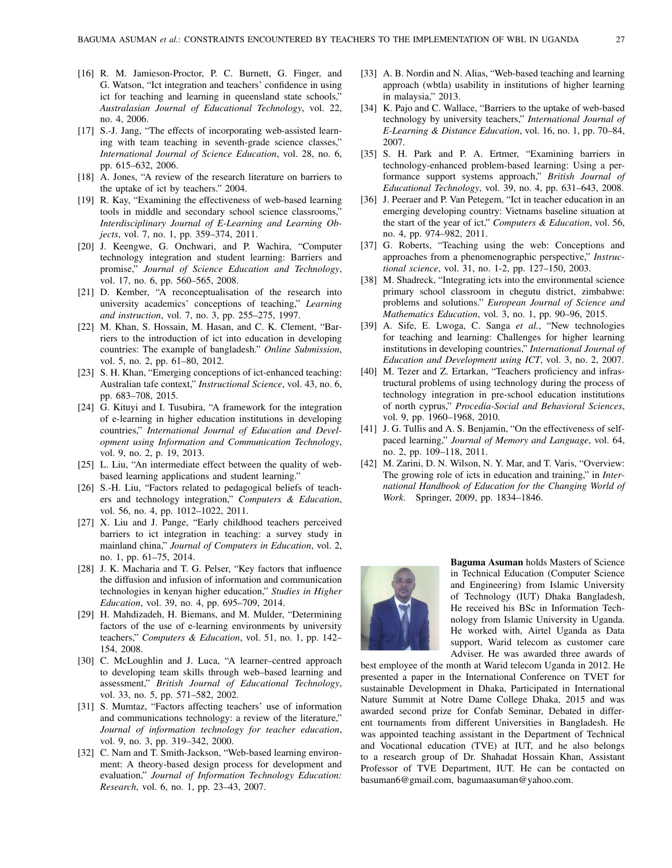- [16] R. M. Jamieson-Proctor, P. C. Burnett, G. Finger, and G. Watson, "Ict integration and teachers' confidence in using ict for teaching and learning in queensland state schools," *Australasian Journal of Educational Technology*, vol. 22, no. 4, 2006.
- [17] S.-J. Jang, "The effects of incorporating web-assisted learning with team teaching in seventh-grade science classes," *International Journal of Science Education*, vol. 28, no. 6, pp. 615–632, 2006.
- [18] A. Jones, "A review of the research literature on barriers to the uptake of ict by teachers." 2004.
- [19] R. Kay, "Examining the effectiveness of web-based learning tools in middle and secondary school science classrooms," *Interdisciplinary Journal of E-Learning and Learning Objects*, vol. 7, no. 1, pp. 359–374, 2011.
- [20] J. Keengwe, G. Onchwari, and P. Wachira, "Computer technology integration and student learning: Barriers and promise," *Journal of Science Education and Technology*, vol. 17, no. 6, pp. 560–565, 2008.
- [21] D. Kember, "A reconceptualisation of the research into university academics' conceptions of teaching," *Learning and instruction*, vol. 7, no. 3, pp. 255–275, 1997.
- [22] M. Khan, S. Hossain, M. Hasan, and C. K. Clement, "Barriers to the introduction of ict into education in developing countries: The example of bangladesh." *Online Submission*, vol. 5, no. 2, pp. 61–80, 2012.
- [23] S. H. Khan, "Emerging conceptions of ict-enhanced teaching: Australian tafe context," *Instructional Science*, vol. 43, no. 6, pp. 683–708, 2015.
- [24] G. Kituyi and I. Tusubira, "A framework for the integration of e-learning in higher education institutions in developing countries," *International Journal of Education and Development using Information and Communication Technology*, vol. 9, no. 2, p. 19, 2013.
- [25] L. Liu, "An intermediate effect between the quality of webbased learning applications and student learning."
- [26] S.-H. Liu, "Factors related to pedagogical beliefs of teachers and technology integration," *Computers & Education*, vol. 56, no. 4, pp. 1012–1022, 2011.
- [27] X. Liu and J. Pange, "Early childhood teachers perceived barriers to ict integration in teaching: a survey study in mainland china," *Journal of Computers in Education*, vol. 2, no. 1, pp. 61–75, 2014.
- [28] J. K. Macharia and T. G. Pelser, "Key factors that influence the diffusion and infusion of information and communication technologies in kenyan higher education," *Studies in Higher Education*, vol. 39, no. 4, pp. 695–709, 2014.
- [29] H. Mahdizadeh, H. Biemans, and M. Mulder, "Determining factors of the use of e-learning environments by university teachers," *Computers & Education*, vol. 51, no. 1, pp. 142– 154, 2008.
- [30] C. McLoughlin and J. Luca, "A learner–centred approach to developing team skills through web–based learning and assessment," *British Journal of Educational Technology*, vol. 33, no. 5, pp. 571–582, 2002.
- [31] S. Mumtaz, "Factors affecting teachers' use of information and communications technology: a review of the literature," *Journal of information technology for teacher education*, vol. 9, no. 3, pp. 319–342, 2000.
- [32] C. Nam and T. Smith-Jackson, "Web-based learning environment: A theory-based design process for development and evaluation," *Journal of Information Technology Education: Research*, vol. 6, no. 1, pp. 23–43, 2007.
- [33] A. B. Nordin and N. Alias, "Web-based teaching and learning approach (wbtla) usability in institutions of higher learning in malaysia," 2013.
- [34] K. Pajo and C. Wallace, "Barriers to the uptake of web-based technology by university teachers," *International Journal of E-Learning & Distance Education*, vol. 16, no. 1, pp. 70–84, 2007.
- [35] S. H. Park and P. A. Ertmer, "Examining barriers in technology-enhanced problem-based learning: Using a performance support systems approach," *British Journal of Educational Technology*, vol. 39, no. 4, pp. 631–643, 2008.
- [36] J. Peeraer and P. Van Petegem, "Ict in teacher education in an emerging developing country: Vietnams baseline situation at the start of the year of ict," *Computers & Education*, vol. 56, no. 4, pp. 974–982, 2011.
- [37] G. Roberts, "Teaching using the web: Conceptions and approaches from a phenomenographic perspective," *Instructional science*, vol. 31, no. 1-2, pp. 127–150, 2003.
- [38] M. Shadreck, "Integrating icts into the environmental science primary school classroom in chegutu district, zimbabwe: problems and solutions." *European Journal of Science and Mathematics Education*, vol. 3, no. 1, pp. 90–96, 2015.
- [39] A. Sife, E. Lwoga, C. Sanga *et al.*, "New technologies for teaching and learning: Challenges for higher learning institutions in developing countries," *International Journal of Education and Development using ICT*, vol. 3, no. 2, 2007.
- [40] M. Tezer and Z. Ertarkan, "Teachers proficiency and infrastructural problems of using technology during the process of technology integration in pre-school education institutions of north cyprus," *Procedia-Social and Behavioral Sciences*, vol. 9, pp. 1960–1968, 2010.
- [41] J. G. Tullis and A. S. Benjamin, "On the effectiveness of selfpaced learning," *Journal of Memory and Language*, vol. 64, no. 2, pp. 109–118, 2011.
- [42] M. Zarini, D. N. Wilson, N. Y. Mar, and T. Varis, "Overview: The growing role of icts in education and training," in *International Handbook of Education for the Changing World of Work*. Springer, 2009, pp. 1834–1846.



Baguma Asuman holds Masters of Science in Technical Education (Computer Science and Engineering) from Islamic University of Technology (IUT) Dhaka Bangladesh, He received his BSc in Information Technology from Islamic University in Uganda. He worked with, Airtel Uganda as Data support, Warid telecom as customer care Adviser. He was awarded three awards of

best employee of the month at Warid telecom Uganda in 2012. He presented a paper in the International Conference on TVET for sustainable Development in Dhaka, Participated in International Nature Summit at Notre Dame College Dhaka, 2015 and was awarded second prize for Confab Seminar, Debated in different tournaments from different Universities in Bangladesh. He was appointed teaching assistant in the Department of Technical and Vocational education (TVE) at IUT, and he also belongs to a research group of Dr. Shahadat Hossain Khan, Assistant Professor of TVE Department, IUT. He can be contacted on basuman6@gmail.com, bagumaasuman@yahoo.com.